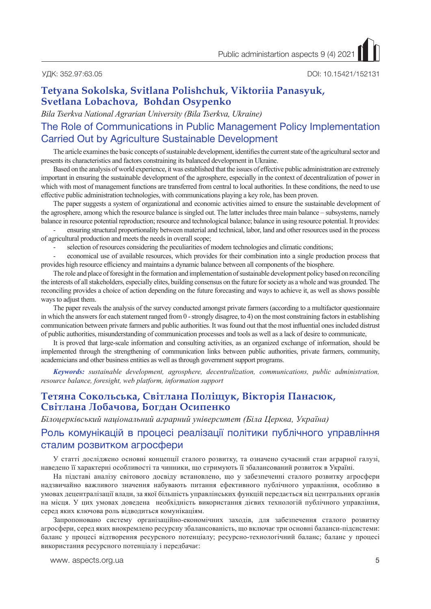УДК: 352.97:63.05 DOI: 10.15421/152131

## **Tetyana Sokolska, Svitlana Polishchuk, Viktoriia Panasyuk, Svetlana Lobachova, Bohdan Osypenko**

*Bila Tserkva National Agrarian University (Bila Tserkva, Ukraine)*

# The Role of Communications in Public Management Policy Implementation Carried Out by Agriculture Sustainable Development

The article examines the basic concepts of sustainable development, identifies the current state of the agricultural sector and presents its characteristics and factors constraining its balanced development in Ukraine.

Based on the analysis of world experience, it was established that the issues of effective public administration are extremely important in ensuring the sustainable development of the agrosphere, especially in the context of decentralization of power in which with most of management functions are transferred from central to local authorities. In these conditions, the need to use effective public administration technologies, with communications playing a key role, has been proven.

The paper suggests a system of organizational and economic activities aimed to ensure the sustainable development of the agrosphere, among which the resource balance is singled out. The latter includes three main balance – subsystems, namely balance in resource potential reproduction; resource and technological balance; balance in using resource potential. It provides:

- ensuring structural proportionality between material and technical, labor, land and other resources used in the process of agricultural production and meets the needs in overall scope;

selection of resources considering the peculiarities of modern technologies and climatic conditions;

- economical use of available resources, which provides for their combination into a single production process that provides high resource efficiency and maintains a dynamic balance between all components of the biosphere.

The role and place of foresight in the formation and implementation of sustainable development policy based on reconciling the interests of all stakeholders, especially elites, building consensus on the future for society as a whole and was grounded. The reconciling provides a choice of action depending on the future forecasting and ways to achieve it, as well as shows possible ways to adjust them.

The paper reveals the analysis of the survey conducted amongst private farmers (according to a multifactor questionnaire in which the answers for each statement ranged from 0 - strongly disagree, to 4) on the most constraining factors in establishing communication between private farmers and public authorities. It was found out that the most influential ones included distrust of public authorities, misunderstanding of communication processes and tools as well as a lack of desire to communicate,

It is proved that large-scale information and consulting activities, as an organized exchange of information, should be implemented through the strengthening of communication links between public authorities, private farmers, community, academicians and other business entities as well as through government support programs.

*Keywords: sustainable development, agrosphere, decentralization, communications, public administration, resource balance, foresight, web platform, information support*

## **Тетяна Сокольська, Світлана Поліщук, Вікторія Панасюк, Світлана Лобачова, Богдан Осипенко**

*Білоцерківський національний аграрний університет (Біла Церква, Україна)*

## Роль комунікацій в процесі реалізації політики публічного управління сталим розвитком агросфери

У статті досліджено основні концепції сталого розвитку, та означено сучасний стан аграрної галузі, наведено її характерні особливості та чинники, що стримують її збалансований розвиток в Україні.

На підставі аналізу світового досвіду встановлено, що у забезпеченні сталого розвитку агросфери надзвичайно важливого значення набувають питання ефективного публічного управління, особливо в умовах децентралізації влади, за якої більшість управлінських функцій передається від центральних органів на місця. У цих умовах доведена необхідність використання дієвих технологій публічного управління, серед яких ключова роль відводиться комунікаціям.

Запропоновано систему організаційно-економічних заходів, для забезпечення сталого розвитку агросфери, серед яких виокремлено ресурсну збалансованість, що включає три основні баланси-підсистеми: баланс у процесі відтворення ресурсного потенціалу; ресурсно-технологічний баланс; баланс у процесі використання ресурсного потенціалу і передбачає:

www. aspects.org.ua 5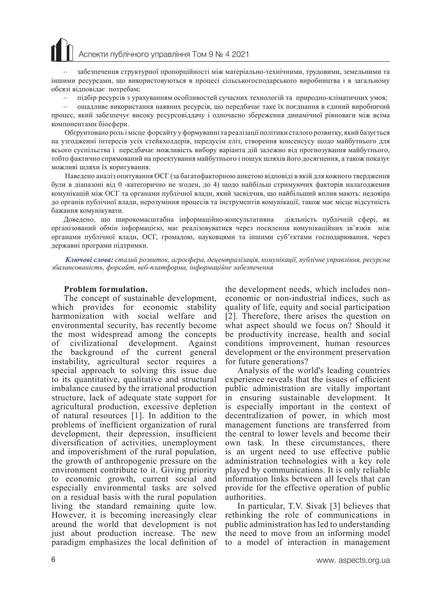# Аспекти публічного управління Том 9 № 4 2021

– забезпечення структурної пропорційності між матеріально-технічними, трудовими, земельними та іншими ресурсами, що використовуються в процесі сільськогосподарського виробництва і в загальному обсязі відповідає потребам;

– підбір ресурсів з урахуванням особливостей сучасних технологій та природно-кліматичних умов;

– ощадливе використання наявних ресурсів, що передбачає таке їх поєднання в єдиний виробничий процес, який забезпечує високу ресурсовіддачу і одночасно збереження динамічної рівноваги між всіма компонентами біосфери.

 Обґрунтовано роль і місце форсайту у формуванні та реалізації політики сталого розвитку, який базується на узгодженні інтересів усіх стейкхолдерів, передусім еліт, створення консенсусу щодо майбутнього для всього суспільства і передбачає можливість вибору варіанта дій залежно від прогнозування майбутнього, тобто фактично спрямований на проектування майбутнього і пошук шляхів його досягнення, а також показує можливі шляхи їх коригування.

 Наведено аналіз опитування ОСГ (за багатофакторною анкетою відповіді в якій для кожного твердження були в діапазоні від 0 -категорично не згоден, до 4) щодо найбільш стримуючих факторів налагодження комунікацій між ОСГ та органами публічної влади, який засвідчив, що найбільший вплив мають: недовіра до органів публічної влади, нерозуміння процесів та інструментів комунікації, також має місце відсутність бажання комунікувати.

Доведено, що широкомасштабна інформаційно-консультативна діяльність публічній сфері, як організований обмін інформацією, має реалізовуватися через посилення комунікаційних зв'язків між органами публічної влади, ОСГ, громадою, науковцями та іншими суб'єктами господарювання, через державні програми підтримки.

*Ключові слова: сталий розвиток, агросфера, децентралізація, комунікації, публічне управління, ресурсна збалансованість, форсайт, веб-платформа, інформаційне забезпечення*

### **Problem formulation.**

The concept of sustainable development, which provides for economic stability harmonization with social welfare and environmental security, has recently become the most widespread among the concepts of civilizational development. Against the background of the current general instability, agricultural sector requires a special approach to solving this issue due to its quantitative, qualitative and structural imbalance caused by the irrational production structure, lack of adequate state support for agricultural production, excessive depletion of natural resources [1]. In addition to the problems of inefficient organization of rural development, their depression, insufficient diversification of activities, unemployment and impoverishment of the rural population, the growth of anthropogenic pressure on the environment contribute to it. Giving priority to economic growth, current social and especially environmental tasks are solved on a residual basis with the rural population living the standard remaining quite low. However, it is becoming increasingly clear around the world that development is not just about production increase. The new paradigm emphasizes the local definition of

the development needs, which includes noneconomic or non-industrial indices, such as quality of life, equity and social participation [2]. Therefore, there arises the question on what aspect should we focus on? Should it be productivity increase, health and social conditions improvement, human resources development or the environment preservation for future generations?

Analysis of the world's leading countries experience reveals that the issues of efficient public administration are vitally important in ensuring sustainable development. It is especially important in the context of decentralization of power, in which most management functions are transferred from the central to lower levels and become their own task. In these circumstances, there is an urgent need to use effective public administration technologies with a key role played by communications. It is only reliable information links between all levels that can provide for the effective operation of public authorities.

In particular, T.V. Sivak [3] believes that rethinking the role of communications in public administration has led to understanding the need to move from an informing model to a model of interaction in management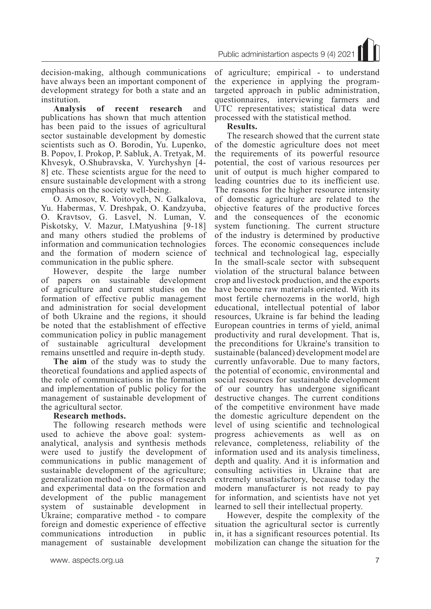Public administartion aspects 9 (4) 2021

decision-making, although communications have always been an important component of development strategy for both a state and an institution.

**Analysis of recent research** and publications has shown that much attention has been paid to the issues of agricultural sector sustainable development by domestic scientists such as O. Borodin, Yu. Lupenko, B. Popov, I. Prokop, P. Sabluk, A. Tretyak, M. Khvesyk, O.Shubravska, V. Yurchyshyn [4- 8] etc. These scientists argue for the need to ensure sustainable development with a strong emphasis on the society well-being.

O. Amosov, R. Voitovych, N. Galkalova, Yu. Habermas, V. Dreshpak, O. Kandzyuba, O. Kravtsov, G. Lasvel, N. Luman, V. Piskotsky, V. Mazur, I.Matyushina [9-18] and many others studied the problems of information and communication technologies and the formation of modern science of communication in the public sphere.

However, despite the large number of papers on sustainable development of agriculture and current studies on the formation of effective public management and administration for social development of both Ukraine and the regions, it should be noted that the establishment of effective communication policy in public management of sustainable agricultural development remains unsettled and require in-depth study.

**The aim** of the study was to study the theoretical foundations and applied aspects of the role of communications in the formation and implementation of public policy for the management of sustainable development of the agricultural sector.

### **Research methods.**

The following research methods were used to achieve the above goal: systemanalytical, analysis and synthesis methods were used to justify the development of communications in public management of sustainable development of the agriculture; generalization method - to process of research and experimental data on the formation and development of the public management system of sustainable development in Ukraine; comparative method - to compare foreign and domestic experience of effective communications introduction in public management of sustainable development

of agriculture; empirical - to understand the experience in applying the programtargeted approach in public administration, questionnaires, interviewing farmers and UTC representatives; statistical data were processed with the statistical method.

### **Results.**

The research showed that the current state of the domestic agriculture does not meet the requirements of its powerful resource potential, the cost of various resources per unit of output is much higher compared to leading countries due to its inefficient use. The reasons for the higher resource intensity of domestic agriculture are related to the objective features of the productive forces and the consequences of the economic system functioning. The current structure of the industry is determined by productive forces. The economic consequences include technical and technological lag, especially In the small-scale sector with subsequent violation of the structural balance between crop and livestock production, and the exports have become raw materials oriented. With its most fertile chernozems in the world, high educational, intellectual potential of labor resources, Ukraine is far behind the leading European countries in terms of yield, animal productivity and rural development. That is, the preconditions for Ukraine's transition to sustainable (balanced) development model are currently unfavorable. Due to many factors, the potential of economic, environmental and social resources for sustainable development of our country has undergone significant destructive changes. The current conditions of the competitive environment have made the domestic agriculture dependent on the level of using scientific and technological progress achievements as well as on relevance, completeness, reliability of the information used and its analysis timeliness, depth and quality. And it is information and consulting activities in Ukraine that are extremely unsatisfactory, because today the modern manufacturer is not ready to pay for information, and scientists have not yet learned to sell their intellectual property.

However, despite the complexity of the situation the agricultural sector is currently in, it has a significant resources potential. Its mobilization can change the situation for the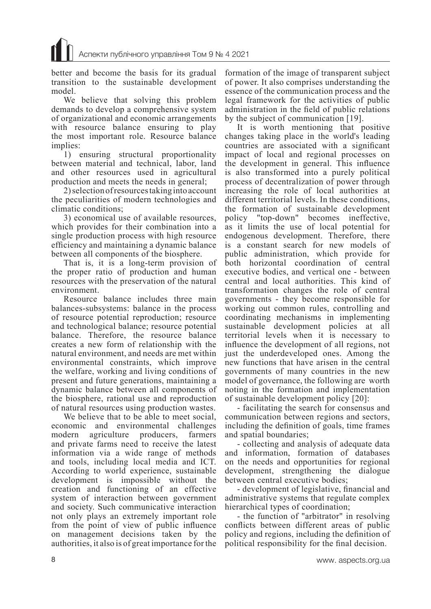better and become the basis for its gradual transition to the sustainable development model.

We believe that solving this problem demands to develop a comprehensive system of organizational and economic arrangements with resource balance ensuring to play the most important role. Resource balance implies:

1) ensuring structural proportionality between material and technical, labor, land and other resources used in agricultural production and meets the needs in general;

2) selection of resources taking into account the peculiarities of modern technologies and climatic conditions;

3) economical use of available resources, which provides for their combination into a single production process with high resource efficiency and maintaining a dynamic balance between all components of the biosphere.

That is, it is a long-term provision of the proper ratio of production and human resources with the preservation of the natural environment.

Resource balance includes three main balances-subsystems: balance in the process of resource potential reproduction; resource and technological balance; resource potential balance. Therefore, the resource balance creates a new form of relationship with the natural environment, and needs are met within environmental constraints, which improve the welfare, working and living conditions of present and future generations, maintaining a dynamic balance between all components of the biosphere, rational use and reproduction of natural resources using production wastes.

We believe that to be able to meet social, economic and environmental challenges modern agriculture producers, farmers and private farms need to receive the latest information via a wide range of methods and tools, including local media and ICT. According to world experience, sustainable development is impossible without the creation and functioning of an effective system of interaction between government and society. Such communicative interaction not only plays an extremely important role from the point of view of public influence on management decisions taken by the authorities, it also is of great importance for the

formation of the image of transparent subject of power. It also comprises understanding the essence of the communication process and the legal framework for the activities of public administration in the field of public relations by the subject of communication [19].

It is worth mentioning that positive changes taking place in the world's leading countries are associated with a significant impact of local and regional processes on the development in general. This influence is also transformed into a purely political process of decentralization of power through increasing the role of local authorities at different territorial levels. In these conditions, the formation of sustainable development policy "top-down" becomes ineffective, as it limits the use of local potential for endogenous development. Therefore, there is a constant search for new models of public administration, which provide for both horizontal coordination of central executive bodies, and vertical one - between central and local authorities. This kind of transformation changes the role of central governments - they become responsible for working out common rules, controlling and coordinating mechanisms in implementing sustainable development policies at all territorial levels when it is necessary to influence the development of all regions, not just the underdeveloped ones. Among the new functions that have arisen in the central governments of many countries in the new model of governance, the following are worth noting in the formation and implementation of sustainable development policy [20]:

- facilitating the search for consensus and communication between regions and sectors, including the definition of goals, time frames and spatial boundaries;

- collecting and analysis of adequate data and information, formation of databases on the needs and opportunities for regional development, strengthening the dialogue between central executive bodies;

- development of legislative, financial and administrative systems that regulate complex hierarchical types of coordination;

- the function of "arbitrator" in resolving conflicts between different areas of public policy and regions, including the definition of political responsibility for the final decision.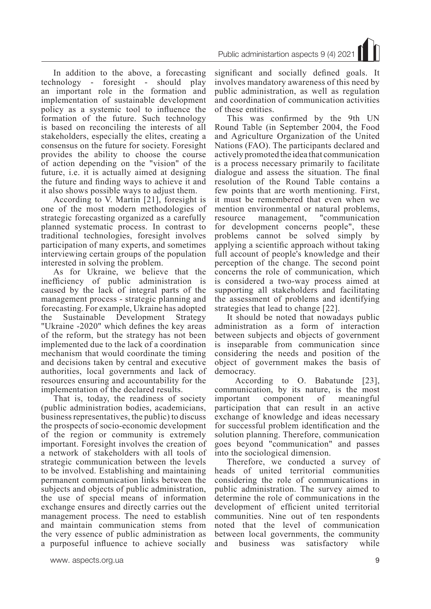In addition to the above, a forecasting technology - foresight - should play an important role in the formation and implementation of sustainable development policy as a systemic tool to influence the formation of the future. Such technology is based on reconciling the interests of all stakeholders, especially the elites, creating a consensus on the future for society. Foresight provides the ability to choose the course of action depending on the "vision" of the future, i.e. it is actually aimed at designing the future and finding ways to achieve it and it also shows possible ways to adjust them.

According to V. Martin [21], foresight is one of the most modern methodologies of strategic forecasting organized as a carefully planned systematic process. In contrast to traditional technologies, foresight involves participation of many experts, and sometimes interviewing certain groups of the population interested in solving the problem.

As for Ukraine, we believe that the inefficiency of public administration is caused by the lack of integral parts of the management process - strategic planning and forecasting. For example, Ukraine has adopted the Sustainable Development Strategy "Ukraine -2020" which defines the key areas of the reform, but the strategy has not been implemented due to the lack of a coordination mechanism that would coordinate the timing and decisions taken by central and executive authorities, local governments and lack of resources ensuring and accountability for the implementation of the declared results.

That is, today, the readiness of society (public administration bodies, academicians, business representatives, the public) to discuss the prospects of socio-economic development of the region or community is extremely important. Foresight involves the creation of a network of stakeholders with all tools of strategic communication between the levels to be involved. Establishing and maintaining permanent communication links between the subjects and objects of public administration, the use of special means of information exchange ensures and directly carries out the management process. The need to establish and maintain communication stems from the very essence of public administration as a purposeful influence to achieve socially

significant and socially defined goals. It involves mandatory awareness of this need by public administration, as well as regulation and coordination of communication activities of these entities.

This was confirmed by the 9th UN Round Table (in September 2004, the Food and Agriculture Organization of the United Nations (FAO). The participants declared and actively promoted the idea that communication is a process necessary primarily to facilitate dialogue and assess the situation. The final resolution of the Round Table contains a few points that are worth mentioning. First, it must be remembered that even when we mention environmental or natural problems, resource management, "communication for development concerns people", these problems cannot be solved simply by applying a scientific approach without taking full account of people's knowledge and their perception of the change. The second point concerns the role of communication, which is considered a two-way process aimed at supporting all stakeholders and facilitating the assessment of problems and identifying strategies that lead to change [22].

It should be noted that nowadays public administration as a form of interaction between subjects and objects of government is inseparable from communication since considering the needs and position of the object of government makes the basis of democracy.

 According to O. Babatunde [23], communication, by its nature, is the most important component of meaningful participation that can result in an active exchange of knowledge and ideas necessary for successful problem identification and the solution planning. Therefore, communication goes beyond "communication" and passes into the sociological dimension.

Therefore, we conducted a survey of heads of united territorial communities considering the role of communications in public administration. The survey aimed to determine the role of communications in the development of efficient united territorial communities. Nine out of ten respondents noted that the level of communication between local governments, the community and business was satisfactory while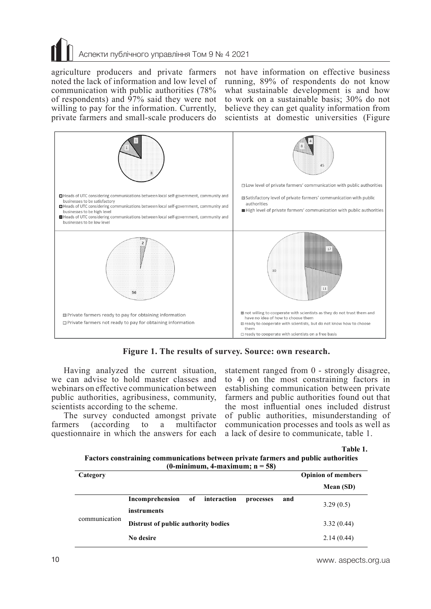# Аспекти публічного управління Том 9 № 4 2021

agriculture producers and private farmers noted the lack of information and low level of communication with public authorities (78% of respondents) and  $97\%$  said they were not willing to pay for the information. Currently, private farmers and small-scale producers do

not have information on effective business running, 89% of respondents do not know what sustainable development is and how to work on a sustainable basis; 30% do not believe they can get quality information from scientists at domestic universities (Figure



**Figure 1. The results of survey. Source: own research.**

Having analyzed the current situation, we can advise to hold master classes and webinars on effective communication between public authorities, agribusiness, community, scientists according to the scheme.

The survey conducted amongst private<br>farmers (according to a multifactor  $rac{\arctan x}{x}$  to a questionnaire in which the answers for each

statement ranged from 0 - strongly disagree, to 4) on the most constraining factors in establishing communication between private farmers and public authorities found out that the most influential ones included distrust of public authorities, misunderstanding of communication processes and tools as well as a lack of desire to communicate, table 1.

**Table 1.**

| Factors constraining communications between private farmers and public authorities |
|------------------------------------------------------------------------------------|
| (0-minimum, 4-maximum; $n = 58$ )                                                  |

| Category      |                                                          | <b>Opinion of members</b> |
|---------------|----------------------------------------------------------|---------------------------|
|               |                                                          | Mean (SD)                 |
| communication | Incomprehension<br>interaction<br>of<br>and<br>processes | 3.29(0.5)                 |
|               | instruments                                              |                           |
|               | Distrust of public authority bodies                      | 3.32(0.44)                |
|               | No desire                                                | 2.14(0.44)                |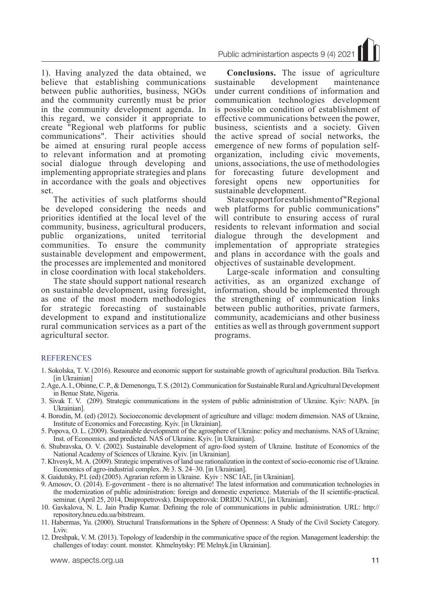1). Having analyzed the data obtained, we believe that establishing communications between public authorities, business, NGOs and the community currently must be prior in the community development agenda. In this regard, we consider it appropriate to create "Regional web platforms for public communications". Their activities should be aimed at ensuring rural people access to relevant information and at promoting social dialogue through developing and implementing appropriate strategies and plans in accordance with the goals and objectives set.

The activities of such platforms should be developed considering the needs and priorities identified at the local level of the community, business, agricultural producers, public organizations, united territorial communities. To ensure the community sustainable development and empowerment, the processes are implemented and monitored in close coordination with local stakeholders.

The state should support national research on sustainable development, using foresight, as one of the most modern methodologies for strategic forecasting of sustainable development to expand and institutionalize rural communication services as a part of the agricultural sector.

Public administartion aspects 9 (4) 2021

**Conclusions.** The issue of agriculture sustainable development maintenance under current conditions of information and communication technologies development is possible on condition of establishment of effective communications between the power, business, scientists and a society. Given the active spread of social networks, the emergence of new forms of population selforganization, including civic movements, unions, associations, the use of methodologies for forecasting future development and<br>foresight opens new opportunities for foresight opens new opportunities for sustainable development.

State support for establishment of "Regional web platforms for public communications" will contribute to ensuring access of rural residents to relevant information and social dialogue through the development and implementation of appropriate strategies and plans in accordance with the goals and objectives of sustainable development.

Large-scale information and consulting activities, as an organized exchange of information, should be implemented through the strengthening of communication links between public authorities, private farmers, community, academicians and other business entities as well as through government support programs.

### REFERENCES

- 1. Sokolska, T. V. (2016). Resource and economic support for sustainable growth of agricultural production. Bila Tserkva. [in Ukrainian]
- 2. Age, A. I., Obinne, C. P., & Demenongu, T. S. (2012). Communication for Sustainable Rural and Agricultural Development in Benue State, Nigeria.
- 3. Sivak T. V. (209). Strategic communications in the system of public administration of Ukraine. Kyiv: NAPA. [in Ukrainian].
- 4. Borodin, M. (ed) (2012). Socioeconomic development of agriculture and village: modern dimension. NAS of Ukraine, Institute of Economics and Forecasting. Kyiv. [in Ukrainian].
- 5. Popova, O. L. (2009). Sustainable development of the agrosphere of Ukraine: policy and mechanisms. NAS of Ukraine; Inst. of Economics. and predicted. NAS of Ukraine. Kyiv. [in Ukrainian].
- 6. Shubravska, O. V. (2002). Sustainable development of agro-food system of Ukraine. Institute of Economics of the National Academy of Sciences of Ukraine. Kyiv. [in Ukrainian].
- 7. Khvesyk, M. A. (2009). Strategic imperatives of land use rationalization in the context of socio-economic rise of Ukraine. Economics of agro-industrial complex. № 3. S. 24–30. [in Ukrainian].
- 8. Gaidutsky, P.I. (ed) (2005). Agrarian reform in Ukraine. Kyiv : NSC IAE, [in Ukrainian].
- 9. Amosov, O. (2014). E-government there is no alternative! The latest information and communication technologies in the modernization of public administration: foreign and domestic experience. Materials of the II scientific-practical. seminar. (April 25, 2014, Dnipropetrovsk). Dnipropetrovsk: DRIDU NADU, [in Ukrainian].
- 10. Gavkalova, N. L. Jain Pradip Kumar. Defining the role of communications in public administration. URL: http:// repository.hneu.edu.ua/bitstream.
- 11. Habermas, Yu. (2000). Structural Transformations in the Sphere of Openness: A Study of the Civil Society Category. Lviv.
- 12. Dreshpak, V. M. (2013). Topology of leadership in the communicative space of the region. Management leadership: the challenges of today: count. monster. Khmelnytsky: PE Melnyk.[in Ukrainian].